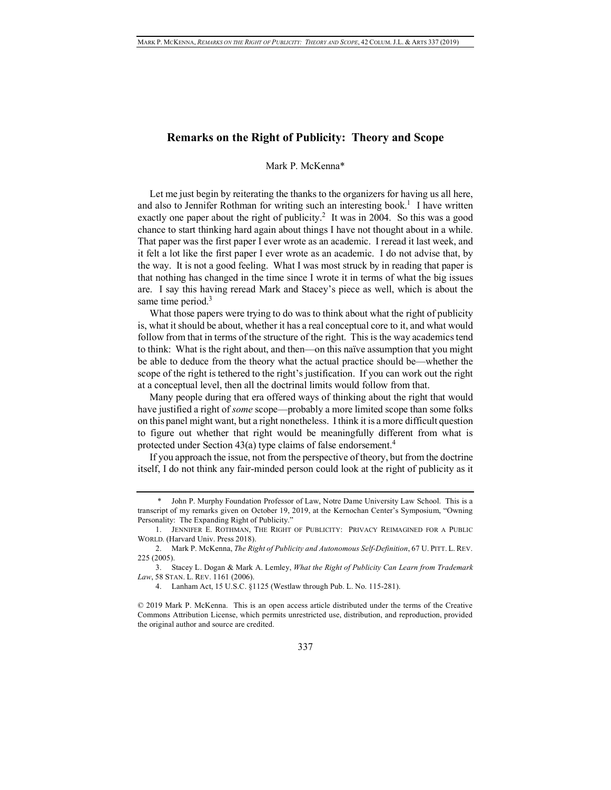## **Remarks on the Right of Publicity: Theory and Scope**

## Mark P. McKenna\*

Let me just begin by reiterating the thanks to the organizers for having us all here, and also to Jennifer Rothman for writing such an interesting book.<sup>1</sup> I have written exactly one paper about the right of publicity.<sup>2</sup> It was in 2004. So this was a good chance to start thinking hard again about things I have not thought about in a while. That paper was the first paper I ever wrote as an academic. I reread it last week, and it felt a lot like the first paper I ever wrote as an academic. I do not advise that, by the way. It is not a good feeling. What I was most struck by in reading that paper is that nothing has changed in the time since I wrote it in terms of what the big issues are. I say this having reread Mark and Stacey's piece as well, which is about the same time period.<sup>3</sup>

What those papers were trying to do was to think about what the right of publicity is, what it should be about, whether it has a real conceptual core to it, and what would follow from that in terms of the structure of the right. This is the way academics tend to think: What is the right about, and then—on this naïve assumption that you might be able to deduce from the theory what the actual practice should be—whether the scope of the right is tethered to the right's justification. If you can work out the right at a conceptual level, then all the doctrinal limits would follow from that.

Many people during that era offered ways of thinking about the right that would have justified a right of *some* scope—probably a more limited scope than some folks on this panel might want, but a right nonetheless. I think it is a more difficult question to figure out whether that right would be meaningfully different from what is protected under Section 43(a) type claims of false endorsement.<sup>4</sup>

If you approach the issue, not from the perspective of theory, but from the doctrine itself, I do not think any fair-minded person could look at the right of publicity as it

John P. Murphy Foundation Professor of Law, Notre Dame University Law School. This is a transcript of my remarks given on October 19, 2019, at the Kernochan Center's Symposium, "Owning Personality: The Expanding Right of Publicity."

<sup>1.</sup> JENNIFER E. ROTHMAN, THE RIGHT OF PUBLICITY: PRIVACY REIMAGINED FOR A PUBLIC WORLD*.* (Harvard Univ. Press 2018).

<sup>2.</sup> Mark P. McKenna, *The Right of Publicity and Autonomous Self-Definition*, 67 U. PITT. L. REV. 225 (2005).

<sup>3.</sup> Stacey L. Dogan & Mark A. Lemley, *What the Right of Publicity Can Learn from Trademark Law*, 58 STAN. L. REV. 1161 (2006).

<sup>4.</sup> Lanham Act, 15 U.S.C. §1125 (Westlaw through Pub. L. No. 115-281).

<sup>© 2019</sup> Mark P. McKenna. This is an open access article distributed under the terms of the Creative Commons Attribution License, which permits unrestricted use, distribution, and reproduction, provided the original author and source are credited.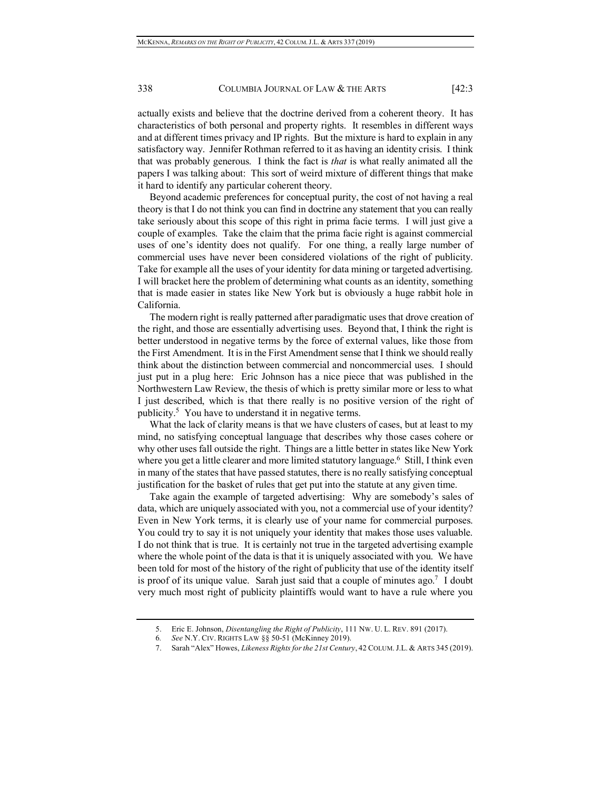## 338 COLUMBIA JOURNAL OF LAW & THE ARTS [42:3]

actually exists and believe that the doctrine derived from a coherent theory. It has characteristics of both personal and property rights. It resembles in different ways and at different times privacy and IP rights. But the mixture is hard to explain in any satisfactory way. Jennifer Rothman referred to it as having an identity crisis. I think that was probably generous. I think the fact is *that* is what really animated all the papers I was talking about: This sort of weird mixture of different things that make it hard to identify any particular coherent theory.

Beyond academic preferences for conceptual purity, the cost of not having a real theory is that I do not think you can find in doctrine any statement that you can really take seriously about this scope of this right in prima facie terms. I will just give a couple of examples. Take the claim that the prima facie right is against commercial uses of one's identity does not qualify. For one thing, a really large number of commercial uses have never been considered violations of the right of publicity. Take for example all the uses of your identity for data mining or targeted advertising. I will bracket here the problem of determining what counts as an identity, something that is made easier in states like New York but is obviously a huge rabbit hole in California.

The modern right is really patterned after paradigmatic uses that drove creation of the right, and those are essentially advertising uses. Beyond that, I think the right is better understood in negative terms by the force of external values, like those from the First Amendment. It is in the First Amendment sense that I think we should really think about the distinction between commercial and noncommercial uses. I should just put in a plug here: Eric Johnson has a nice piece that was published in the Northwestern Law Review, the thesis of which is pretty similar more or less to what I just described, which is that there really is no positive version of the right of publicity.<sup>5</sup> You have to understand it in negative terms.

What the lack of clarity means is that we have clusters of cases, but at least to my mind, no satisfying conceptual language that describes why those cases cohere or why other uses fall outside the right. Things are a little better in states like New York where you get a little clearer and more limited statutory language.<sup>6</sup> Still, I think even in many of the states that have passed statutes, there is no really satisfying conceptual justification for the basket of rules that get put into the statute at any given time.

Take again the example of targeted advertising: Why are somebody's sales of data, which are uniquely associated with you, not a commercial use of your identity? Even in New York terms, it is clearly use of your name for commercial purposes. You could try to say it is not uniquely your identity that makes those uses valuable. I do not think that is true. It is certainly not true in the targeted advertising example where the whole point of the data is that it is uniquely associated with you. We have been told for most of the history of the right of publicity that use of the identity itself is proof of its unique value. Sarah just said that a couple of minutes ago.<sup>7</sup> I doubt very much most right of publicity plaintiffs would want to have a rule where you

<sup>5.</sup> Eric E. Johnson, *Disentangling the Right of Publicity*, 111 NW. U. L. REV. 891 (2017).

<sup>6</sup>*. See* N.Y. CIV. RIGHTS LAW §§ 50-51 (McKinney 2019).

<sup>7.</sup> Sarah "Alex" Howes, *Likeness Rights for the 21st Century*, 42 COLUM.J.L. & ARTS 345 (2019).